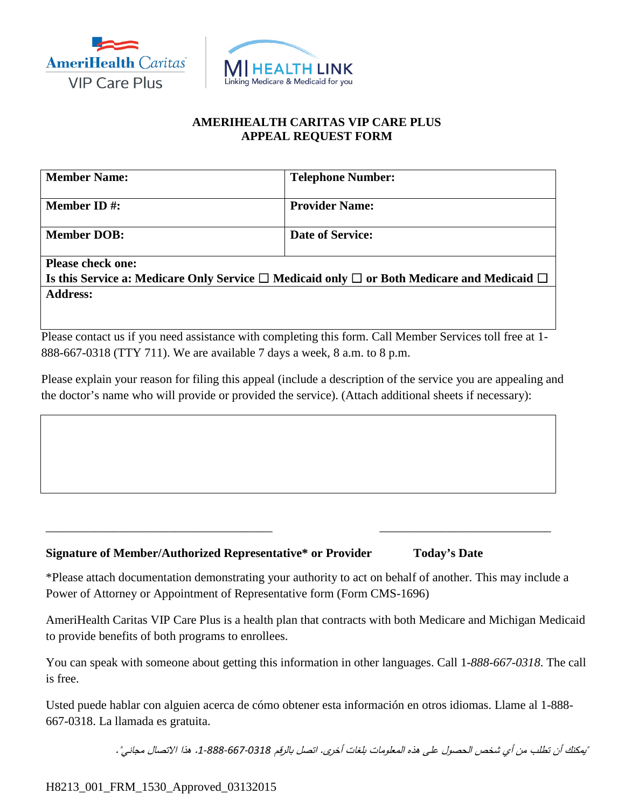



## **AMERIHEALTH CARITAS VIP CARE PLUS APPEAL REQUEST FORM**

| <b>Member Name:</b>                                                                                       | <b>Telephone Number:</b> |
|-----------------------------------------------------------------------------------------------------------|--------------------------|
| <b>Member ID#:</b>                                                                                        | <b>Provider Name:</b>    |
| <b>Member DOB:</b>                                                                                        | <b>Date of Service:</b>  |
| <b>Please check one:</b>                                                                                  |                          |
| Is this Service a: Medicare Only Service $\Box$ Medicaid only $\Box$ or Both Medicare and Medicaid $\Box$ |                          |
| <b>Address:</b>                                                                                           |                          |
|                                                                                                           |                          |

Please contact us if you need assistance with completing this form. Call Member Services toll free at 1-888-667-0318 (TTY 711). We are available 7 days a week, 8 a.m. to 8 p.m.

Please explain your reason for filing this appeal (include a description of the service you are appealing and the doctor's name who will provide or provided the service). (Attach additional sheets if necessary):

## **Signature of Member/Authorized Representative\* or Provider Today's Date**

\*Please attach documentation demonstrating your authority to act on behalf of another. This may include a Power of Attorney or Appointment of Representative form (Form CMS-1696)

\_\_\_\_\_\_\_\_\_\_\_\_\_\_\_\_\_\_\_\_\_\_\_\_\_\_\_\_\_\_\_\_\_\_\_\_\_ \_\_\_\_\_\_\_\_\_\_\_\_\_\_\_\_\_\_\_\_\_\_\_\_\_\_\_\_

AmeriHealth Caritas VIP Care Plus is a health plan that contracts with both Medicare and Michigan Medicaid to provide benefits of both programs to enrollees.

You can speak with someone about getting this information in other languages. Call 1*-888-667-0318*. The call is free.

Usted puede hablar con alguien acerca de cómo obtener esta información en otros idiomas. Llame al 1-888- 667-0318. La llamada es gratuita.

"يمكنك أن تطلب من أي شخص الحصول على هذه المعلومات بلغات أخرى. اتصل بالرقم .*1-888-667-0318* هذا الاتصال مجاني".